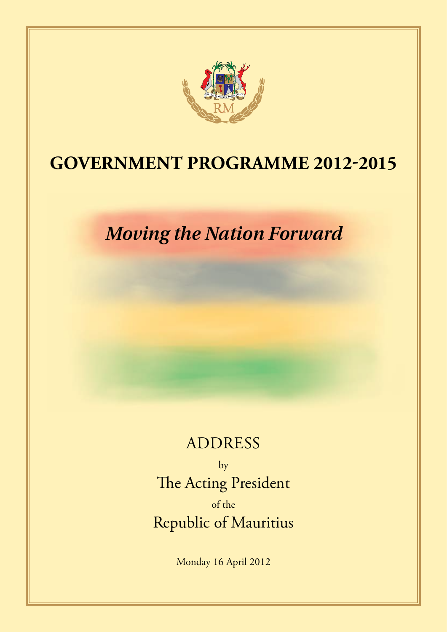

## **GOVERNMENT PROGRAMME 2012-2015**

*Moving the Nation Forward*

## **ADDRESS**

by The Acting President of the Republic of Mauritius

Monday 16 April 2012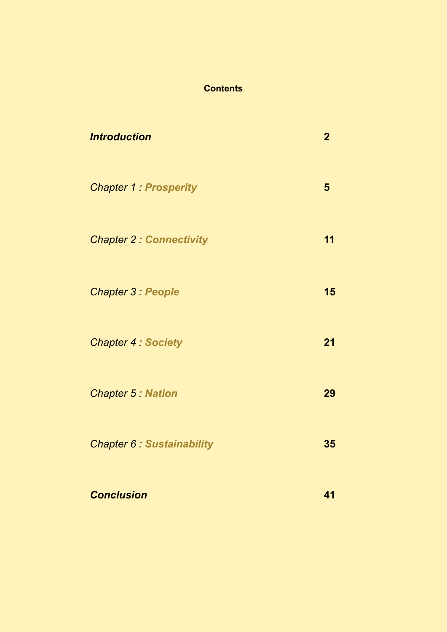### **Contents**

| <b>Introduction</b>             | $\overline{2}$ |
|---------------------------------|----------------|
| <b>Chapter 1: Prosperity</b>    | 5              |
| <b>Chapter 2 Connectivity</b>   | 11             |
| <b>Chapter 3: People</b>        | 15             |
| <b>Chapter 4: Society</b>       | 21             |
| <b>Chapter 5: Nation</b>        | 29             |
| <b>Chapter 6 Sustainability</b> | 35             |
| <b>Conclusion</b>               | 41             |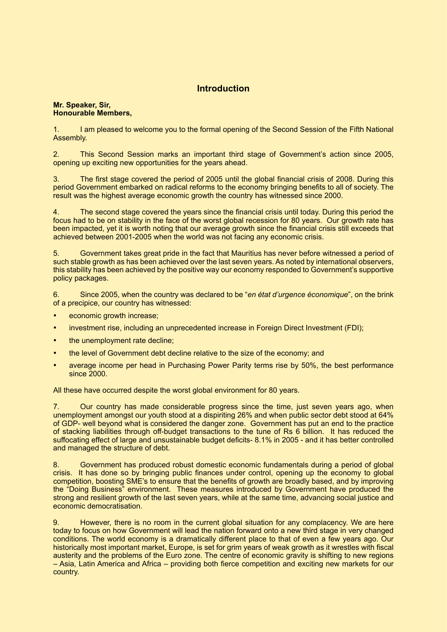#### **Introduction**

#### **Mr. Speaker, Sir, Honourable Members,**

1. I am pleased to welcome you to the formal opening of the Second Session of the Fifth National Assembly.

2. This Second Session marks an important third stage of Government's action since 2005, opening up exciting new opportunities for the years ahead.

3. The first stage covered the period of 2005 until the global financial crisis of 2008. During this period Government embarked on radical reforms to the economy bringing benefits to all of society. The result was the highest average economic growth the country has witnessed since 2000.

4. The second stage covered the years since the financial crisis until today. During this period the focus had to be on stability in the face of the worst global recession for 80 years. Our growth rate has been impacted, yet it is worth noting that our average growth since the financial crisis still exceeds that achieved between 2001-2005 when the world was not facing any economic crisis.

5. Government takes great pride in the fact that Mauritius has never before witnessed a period of such stable growth as has been achieved over the last seven years. As noted by international observers, this stability has been achieved by the positive way our economy responded to Government's supportive policy packages.

6. Since 2005, when the country was declared to be "*en état d'urgence économique*", on the brink of a precipice, our country has witnessed:

- economic growth increase;
- investment rise, including an unprecedented increase in Foreign Direct Investment (FDI);
- the unemployment rate decline;
- the level of Government debt decline relative to the size of the economy; and
- average income per head in Purchasing Power Parity terms rise by 50%, the best performance since 2000.

All these have occurred despite the worst global environment for 80 years.

7. Our country has made considerable progress since the time, just seven years ago, when unemployment amongst our youth stood at a dispiriting 26% and when public sector debt stood at 64% of GDP- well beyond what is considered the danger zone. Government has put an end to the practice of stacking liabilities through off-budget transactions to the tune of Rs 6 billion. It has reduced the suffocating effect of large and unsustainable budget deficits- 8.1% in 2005 - and it has better controlled and managed the structure of debt.

8. Government has produced robust domestic economic fundamentals during a period of global crisis. It has done so by bringing public finances under control, opening up the economy to global competition, boosting SME's to ensure that the benefits of growth are broadly based, and by improving the "Doing Business" environment. These measures introduced by Government have produced the strong and resilient growth of the last seven years, while at the same time, advancing social justice and economic democratisation.

However, there is no room in the current global situation for any complacency. We are here today to focus on how Government will lead the nation forward onto a new third stage in very changed conditions. The world economy is a dramatically different place to that of even a few years ago. Our historically most important market, Europe, is set for grim years of weak growth as it wrestles with fiscal austerity and the problems of the Euro zone. The centre of economic gravity is shifting to new regions – Asia, Latin America and Africa – providing both fierce competition and exciting new markets for our country.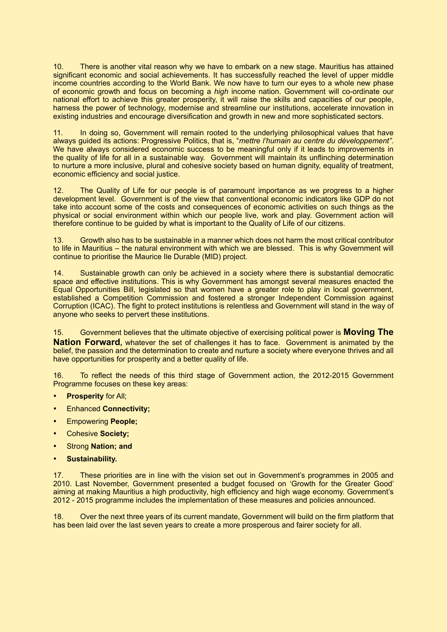10. There is another vital reason why we have to embark on a new stage. Mauritius has attained significant economic and social achievements. It has successfully reached the level of upper middle income countries according to the World Bank. We now have to turn our eyes to a whole new phase of economic growth and focus on becoming a *high* income nation. Government will co-ordinate our national effort to achieve this greater prosperity, it will raise the skills and capacities of our people, harness the power of technology, modernise and streamline our institutions, accelerate innovation in existing industries and encourage diversification and growth in new and more sophisticated sectors.

11. In doing so, Government will remain rooted to the underlying philosophical values that have always guided its actions: Progressive Politics, that is, "*mettre l'humain au centre du développement"*. We have always considered economic success to be meaningful only if it leads to improvements in the quality of life for all in a sustainable way. Government will maintain its unflinching determination to nurture a more inclusive, plural and cohesive society based on human dignity, equality of treatment, economic efficiency and social justice.

12. The Quality of Life for our people is of paramount importance as we progress to a higher development level. Government is of the view that conventional economic indicators like GDP do not take into account some of the costs and consequences of economic activities on such things as the physical or social environment within which our people live, work and play. Government action will therefore continue to be guided by what is important to the Quality of Life of our citizens.

13. Growth also has to be sustainable in a manner which does not harm the most critical contributor to life in Mauritius – the natural environment with which we are blessed. This is why Government will continue to prioritise the Maurice Ile Durable (MID) project.

14. Sustainable growth can only be achieved in a society where there is substantial democratic space and effective institutions. This is why Government has amongst several measures enacted the Equal Opportunities Bill, legislated so that women have a greater role to play in local government, established a Competition Commission and fostered a stronger Independent Commission against Corruption (ICAC). The fight to protect institutions is relentless and Government will stand in the way of anyone who seeks to pervert these institutions.

15. Government believes that the ultimate objective of exercising political power is **Moving The Nation Forward,** whatever the set of challenges it has to face. Government is animated by the belief, the passion and the determination to create and nurture a society where everyone thrives and all have opportunities for prosperity and a better quality of life.

16. To reflect the needs of this third stage of Government action, the 2012-2015 Government Programme focuses on these key areas:

- **Prosperity for All;**
- **Enhanced Connectivity;**
- **Empowering People:**
- Cohesive **Society;**
- **Strong Nation; and**
- • **Sustainability.**

17. These priorities are in line with the vision set out in Government's programmes in 2005 and 2010. Last November, Government presented a budget focused on 'Growth for the Greater Good' aiming at making Mauritius a high productivity, high efficiency and high wage economy. Government's 2012 - 2015 programme includes the implementation of these measures and policies announced.

18. Over the next three years of its current mandate, Government will build on the firm platform that has been laid over the last seven years to create a more prosperous and fairer society for all.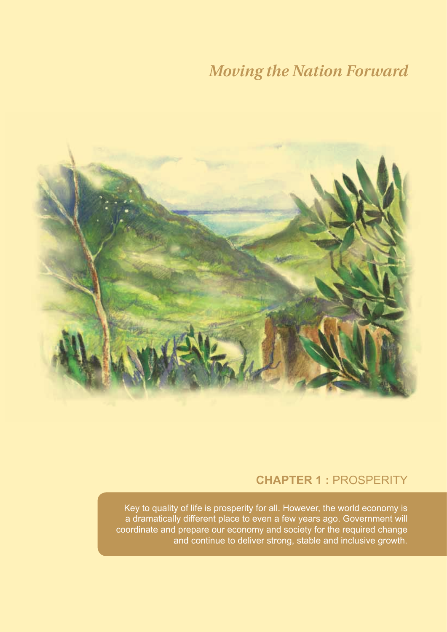

### **CHAPTER 1 :** Prosperity

Key to quality of life is prosperity for all. However, the world economy is a dramatically different place to even a few years ago. Government will coordinate and prepare our economy and society for the required change and continue to deliver strong, stable and inclusive growth.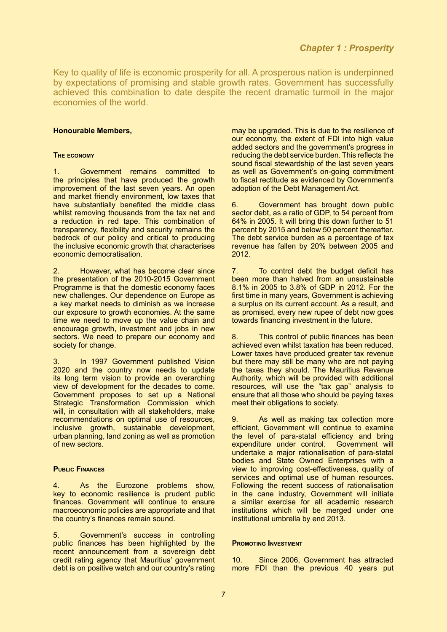Key to quality of life is economic prosperity for all. A prosperous nation is underpinned by expectations of promising and stable growth rates. Government has successfully achieved this combination to date despite the recent dramatic turmoil in the major economies of the world.

#### **Honourable Members,**

#### **The economy**

1. Government remains committed to the principles that have produced the growth improvement of the last seven years. An open and market friendly environment, low taxes that have substantially benefited the middle class whilst removing thousands from the tax net and a reduction in red tape. This combination of transparency, flexibility and security remains the bedrock of our policy and critical to producing the inclusive economic growth that characterises economic democratisation.

2. However, what has become clear since the presentation of the 2010-2015 Government Programme is that the domestic economy faces new challenges. Our dependence on Europe as a key market needs to diminish as we increase our exposure to growth economies. At the same time we need to move up the value chain and encourage growth, investment and jobs in new sectors. We need to prepare our economy and society for change.

In 1997 Government published Vision 2020 and the country now needs to update its long term vision to provide an overarching view of development for the decades to come. Government proposes to set up a National Strategic Transformation Commission which will, in consultation with all stakeholders, make recommendations on optimal use of resources, inclusive growth, sustainable development, urban planning, land zoning as well as promotion of new sectors.

#### **Public Finances**

4. As the Eurozone problems show, key to economic resilience is prudent public finances. Government will continue to ensure macroeconomic policies are appropriate and that the country's finances remain sound.

5. Government's success in controlling public finances has been highlighted by the recent announcement from a sovereign debt credit rating agency that Mauritius' government debt is on positive watch and our country's rating

may be upgraded. This is due to the resilience of our economy, the extent of FDI into high value added sectors and the government's progress in reducing the debt service burden. This reflects the sound fiscal stewardship of the last seven years as well as Government's on-going commitment to fiscal rectitude as evidenced by Government's adoption of the Debt Management Act.

6. Government has brought down public sector debt, as a ratio of GDP, to 54 percent from 64% in 2005. It will bring this down further to 51 percent by 2015 and below 50 percent thereafter. The debt service burden as a percentage of tax revenue has fallen by 20% between 2005 and 2012.

7. To control debt the budget deficit has been more than halved from an unsustainable 8.1% in 2005 to 3.8% of GDP in 2012. For the first time in many years, Government is achieving a surplus on its current account. As a result, and as promised, every new rupee of debt now goes towards financing investment in the future.

8. This control of public finances has been achieved even whilst taxation has been reduced. Lower taxes have produced greater tax revenue but there may still be many who are not paying the taxes they should. The Mauritius Revenue Authority, which will be provided with additional resources, will use the "tax gap" analysis to ensure that all those who should be paying taxes meet their obligations to society.

9. As well as making tax collection more efficient, Government will continue to examine the level of para-statal efficiency and bring expenditure under control. Government will undertake a major rationalisation of para-statal bodies and State Owned Enterprises with a view to improving cost-effectiveness, quality of services and optimal use of human resources. Following the recent success of rationalisation in the cane industry, Government will initiate a similar exercise for all academic research institutions which will be merged under one institutional umbrella by end 2013.

#### **Promoting Investment**

10. Since 2006, Government has attracted more FDI than the previous 40 years put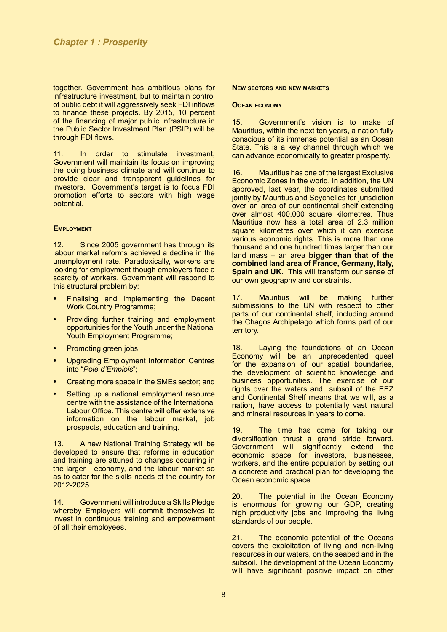together. Government has ambitious plans for infrastructure investment, but to maintain control of public debt it will aggressively seek FDI inflows to finance these projects. By 2015, 10 percent of the financing of major public infrastructure in the Public Sector Investment Plan (PSIP) will be through FDI flows.

11. In order to stimulate investment, Government will maintain its focus on improving the doing business climate and will continue to provide clear and transparent guidelines for investors. Government's target is to focus FDI promotion efforts to sectors with high wage potential.

#### **EMPLOYMENT**

12. Since 2005 government has through its labour market reforms achieved a decline in the unemployment rate. Paradoxically, workers are looking for employment though employers face a scarcity of workers. Government will respond to this structural problem by:

- Finalising and implementing the Decent Work Country Programme;
- Providing further training and employment opportunities for the Youth under the National Youth Employment Programme;
- Promoting green jobs;
- • Upgrading Employment Information Centres into "*Pole d'Emplois*";
- Creating more space in the SMEs sector; and
- Setting up a national employment resource centre with the assistance of the International Labour Office. This centre will offer extensive information on the labour market, job prospects, education and training.

13. A new National Training Strategy will be developed to ensure that reforms in education and training are attuned to changes occurring in the larger economy, and the labour market so as to cater for the skills needs of the country for 2012-2025.

14. Government will introduce a Skills Pledge whereby Employers will commit themselves to invest in continuous training and empowerment of all their employees.

#### **New sectors and new markets**

#### **Ocean economy**

15. Government's vision is to make of Mauritius, within the next ten years, a nation fully conscious of its immense potential as an Ocean State. This is a key channel through which we can advance economically to greater prosperity.

16. Mauritius has one of the largest Exclusive Economic Zones in the world. In addition, the UN approved, last year, the coordinates submitted jointly by Mauritius and Seychelles for jurisdiction over an area of our continental shelf extending over almost 400,000 square kilometres. Thus Mauritius now has a total area of 2.3 million square kilometres over which it can exercise various economic rights. This is more than one thousand and one hundred times larger than our land mass – an area **bigger than that of the combined land area of France, Germany, Italy, Spain and UK.** This will transform our sense of our own geography and constraints.

17. Mauritius will be making further submissions to the UN with respect to other parts of our continental shelf, including around the Chagos Archipelago which forms part of our territory.

18. Laying the foundations of an Ocean Economy will be an unprecedented quest for the expansion of our spatial boundaries, the development of scientific knowledge and business opportunities. The exercise of our rights over the waters and subsoil of the EEZ and Continental Shelf means that we will, as a nation, have access to potentially vast natural and mineral resources in years to come.

19. The time has come for taking our diversification thrust a grand stride forward. Government will significantly extend the economic space for investors, businesses, workers, and the entire population by setting out a concrete and practical plan for developing the Ocean economic space.

20. The potential in the Ocean Economy is enormous for growing our GDP, creating high productivity jobs and improving the living standards of our people.

21. The economic potential of the Oceans covers the exploitation of living and non-living resources in our waters, on the seabed and in the subsoil. The development of the Ocean Economy will have significant positive impact on other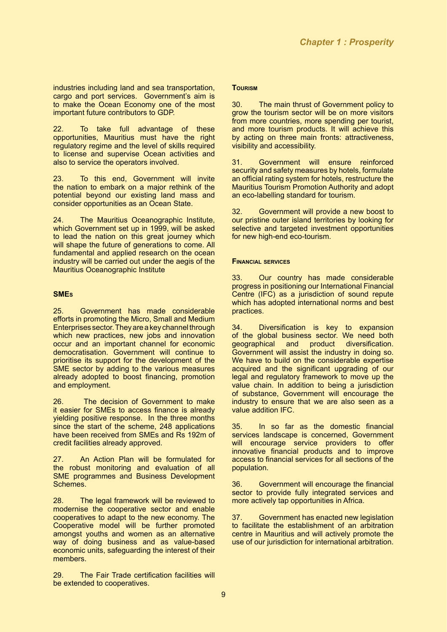industries including land and sea transportation, cargo and port services. Government's aim is to make the Ocean Economy one of the most important future contributors to GDP.

22. To take full advantage of these opportunities, Mauritius must have the right regulatory regime and the level of skills required to license and supervise Ocean activities and also to service the operators involved.

23. To this end, Government will invite the nation to embark on a major rethink of the potential beyond our existing land mass and consider opportunities as an Ocean State.

24. The Mauritius Oceanographic Institute, which Government set up in 1999, will be asked to lead the nation on this great journey which will shape the future of generations to come. All fundamental and applied research on the ocean industry will be carried out under the aegis of the Mauritius Oceanographic Institute

#### **SMEs**

25. Government has made considerable efforts in promoting the Micro, Small and Medium Enterprises sector. They are a key channel through which new practices, new jobs and innovation occur and an important channel for economic democratisation. Government will continue to prioritise its support for the development of the SME sector by adding to the various measures already adopted to boost financing, promotion and employment.

26. The decision of Government to make it easier for SMEs to access finance is already yielding positive response. In the three months since the start of the scheme, 248 applications have been received from SMEs and Rs 192m of credit facilities already approved.

27. An Action Plan will be formulated for the robust monitoring and evaluation of all SME programmes and Business Development Schemes.

28. The legal framework will be reviewed to modernise the cooperative sector and enable cooperatives to adapt to the new economy. The Cooperative model will be further promoted amongst youths and women as an alternative way of doing business and as value-based economic units, safeguarding the interest of their members.

29. The Fair Trade certification facilities will be extended to cooperatives.

#### **Tourism**

30. The main thrust of Government policy to grow the tourism sector will be on more visitors from more countries, more spending per tourist, and more tourism products. It will achieve this by acting on three main fronts: attractiveness, visibility and accessibility.

31. Government will ensure reinforced security and safety measures by hotels, formulate an official rating system for hotels, restructure the Mauritius Tourism Promotion Authority and adopt an eco-labelling standard for tourism.

32. Government will provide a new boost to our pristine outer island territories by looking for selective and targeted investment opportunities for new high-end eco-tourism.

#### **Financial services**

33. Our country has made considerable progress in positioning our International Financial Centre (IFC) as a jurisdiction of sound repute which has adopted international norms and best practices.

34. Diversification is key to expansion of the global business sector. We need both<br>geographical and product diversification. product diversification. Government will assist the industry in doing so. We have to build on the considerable expertise acquired and the significant upgrading of our legal and regulatory framework to move up the value chain. In addition to being a jurisdiction of substance, Government will encourage the industry to ensure that we are also seen as a value addition IFC.

35. In so far as the domestic financial services landscape is concerned, Government will encourage service providers to offer innovative financial products and to improve access to financial services for all sections of the population.

36. Government will encourage the financial sector to provide fully integrated services and more actively tap opportunities in Africa.

37. Government has enacted new legislation to facilitate the establishment of an arbitration centre in Mauritius and will actively promote the use of our jurisdiction for international arbitration.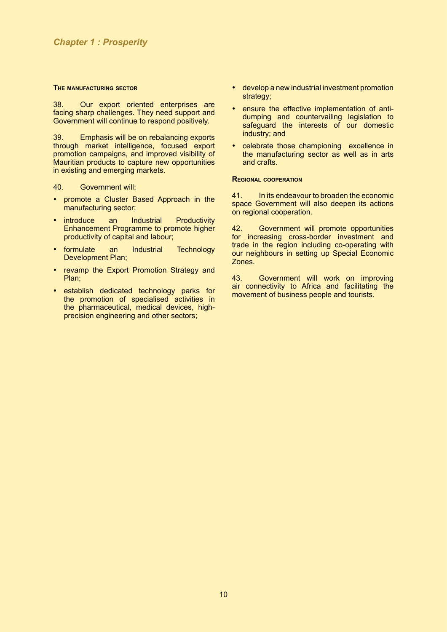#### **The manufacturing sector**

38. Our export oriented enterprises are facing sharp challenges. They need support and Government will continue to respond positively.

39. Emphasis will be on rebalancing exports through market intelligence, focused export promotion campaigns, and improved visibility of Mauritian products to capture new opportunities in existing and emerging markets.

40. Government will:

- promote a Cluster Based Approach in the manufacturing sector;
- introduce an Industrial Productivity Enhancement Programme to promote higher productivity of capital and labour;
- formulate an Industrial Technology Development Plan:
- revamp the Export Promotion Strategy and Plan;
- establish dedicated technology parks for the promotion of specialised activities in the pharmaceutical, medical devices, highprecision engineering and other sectors;
- develop a new industrial investment promotion strategy;
- ensure the effective implementation of antidumping and countervailing legislation to safeguard the interests of our domestic industry; and
- celebrate those championing excellence in the manufacturing sector as well as in arts and crafts.

#### **Regional cooperation**

41. In its endeavour to broaden the economic space Government will also deepen its actions on regional cooperation.

42. Government will promote opportunities for increasing cross-border investment and trade in the region including co-operating with our neighbours in setting up Special Economic Zones.

43. Government will work on improving air connectivity to Africa and facilitating the movement of business people and tourists.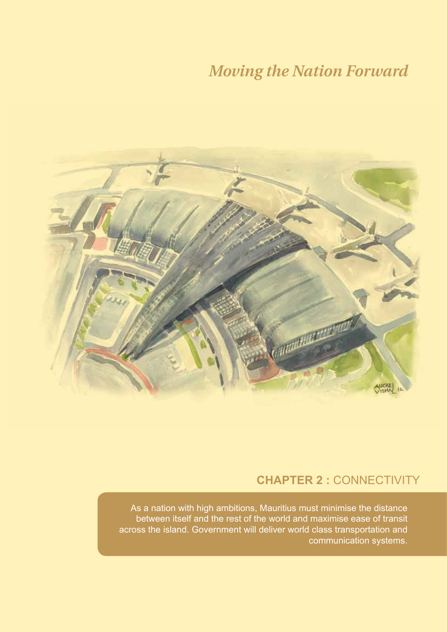

### **CHAPTER 2 :** Connectivity

As a nation with high ambitions, Mauritius must minimise the distance between itself and the rest of the world and maximise ease of transit across the island. Government will deliver world class transportation and communication systems.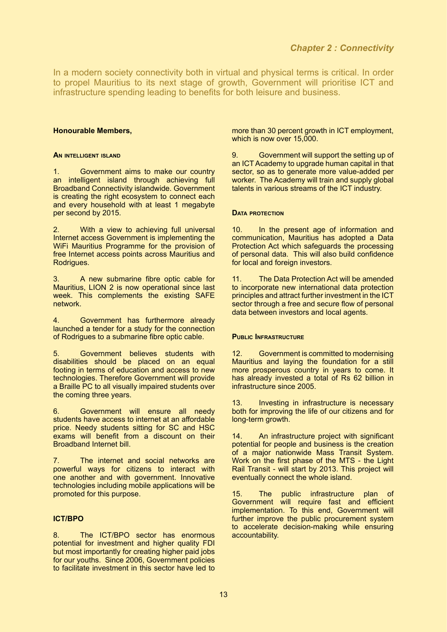In a modern society connectivity both in virtual and physical terms is critical. In order to propel Mauritius to its next stage of growth, Government will prioritise ICT and infrastructure spending leading to benefits for both leisure and business.

#### **Honourable Members,**

#### **An intelligent island**

1. Government aims to make our country an intelligent island through achieving full Broadband Connectivity islandwide. Government is creating the right ecosystem to connect each and every household with at least 1 megabyte per second by 2015.

2. With a view to achieving full universal Internet access Government is implementing the WiFi Mauritius Programme for the provision of free Internet access points across Mauritius and Rodrigues.

3. A new submarine fibre optic cable for Mauritius, LION 2 is now operational since last week. This complements the existing SAFE network.

4. Government has furthermore already launched a tender for a study for the connection of Rodrigues to a submarine fibre optic cable.

5. Government believes students with disabilities should be placed on an equal footing in terms of education and access to new technologies. Therefore Government will provide a Braille PC to all visually impaired students over the coming three years.

6. Government will ensure all needy students have access to internet at an affordable price. Needy students sitting for SC and HSC exams will benefit from a discount on their Broadband Internet bill.

7. The internet and social networks are powerful ways for citizens to interact with one another and with government. Innovative technologies including mobile applications will be promoted for this purpose.

#### **ICT/BPO**

8. The ICT/BPO sector has enormous potential for investment and higher quality FDI but most importantly for creating higher paid jobs for our youths. Since 2006, Government policies to facilitate investment in this sector have led to

more than 30 percent growth in ICT employment, which is now over 15,000.

9. Government will support the setting up of an ICT Academy to upgrade human capital in that sector, so as to generate more value-added per worker. The Academy will train and supply global talents in various streams of the ICT industry.

#### **Data protection**

10. In the present age of information and communication, Mauritius has adopted a Data Protection Act which safeguards the processing of personal data. This will also build confidence for local and foreign investors.

11. The Data Protection Act will be amended to incorporate new international data protection principles and attract further investment in the ICT sector through a free and secure flow of personal data between investors and local agents.

#### **Public Infrastructure**

12. Government is committed to modernising Mauritius and laying the foundation for a still more prosperous country in years to come. It has already invested a total of Rs 62 billion in infrastructure since 2005.

13. Investing in infrastructure is necessary both for improving the life of our citizens and for long-term growth.

14. An infrastructure project with significant potential for people and business is the creation of a major nationwide Mass Transit System. Work on the first phase of the MTS - the Light Rail Transit - will start by 2013. This project will eventually connect the whole island.

15. The public infrastructure plan of Government will require fast and efficient implementation. To this end, Government will further improve the public procurement system to accelerate decision-making while ensuring accountability.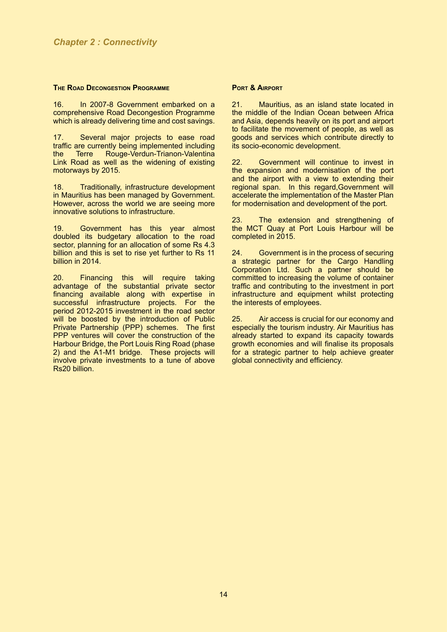#### **The Road Decongestion Programme**

16. In 2007-8 Government embarked on a comprehensive Road Decongestion Programme which is already delivering time and cost savings.

17. Several major projects to ease road traffic are currently being implemented including Rouge-Verdun-Trianon-Valentina Link Road as well as the widening of existing motorways by 2015.

18. Traditionally, infrastructure development in Mauritius has been managed by Government. However, across the world we are seeing more innovative solutions to infrastructure.

19. Government has this year almost doubled its budgetary allocation to the road sector, planning for an allocation of some Rs 4.3 billion and this is set to rise yet further to Rs 11 billion in 2014.

20. Financing this will require taking advantage of the substantial private sector financing available along with expertise in successful infrastructure projects. For the period 2012-2015 investment in the road sector will be boosted by the introduction of Public Private Partnership (PPP) schemes. The first PPP ventures will cover the construction of the Harbour Bridge, the Port Louis Ring Road (phase 2) and the A1-M1 bridge. These projects will involve private investments to a tune of above Rs20 billion.

#### **Port & Airport**

21. Mauritius, as an island state located in the middle of the Indian Ocean between Africa and Asia, depends heavily on its port and airport to facilitate the movement of people, as well as goods and services which contribute directly to its socio-economic development.

22. Government will continue to invest in the expansion and modernisation of the port and the airport with a view to extending their regional span. In this regard,Government will accelerate the implementation of the Master Plan for modernisation and development of the port.

23. The extension and strengthening of the MCT Quay at Port Louis Harbour will be completed in 2015.

24. Government is in the process of securing a strategic partner for the Cargo Handling Corporation Ltd. Such a partner should be committed to increasing the volume of container traffic and contributing to the investment in port infrastructure and equipment whilst protecting the interests of employees.

25. Air access is crucial for our economy and especially the tourism industry. Air Mauritius has already started to expand its capacity towards growth economies and will finalise its proposals for a strategic partner to help achieve greater global connectivity and efficiency.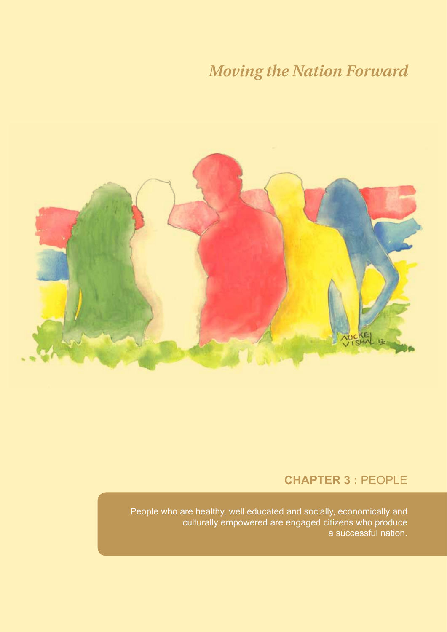

### **CHAPTER 3 :** People

People who are healthy, well educated and socially, economically and culturally empowered are engaged citizens who produce a successful nation.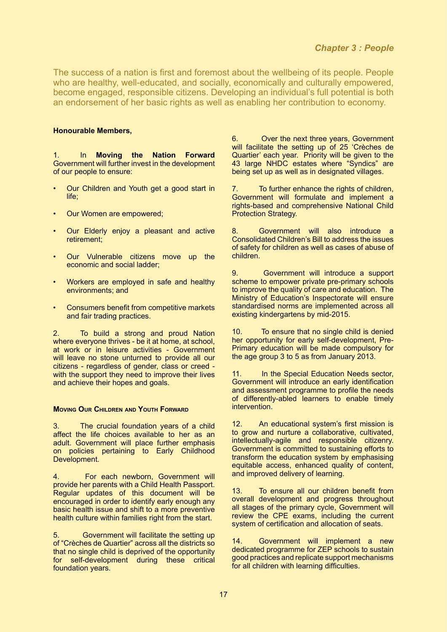The success of a nation is first and foremost about the wellbeing of its people. People who are healthy, well-educated, and socially, economically and culturally empowered, become engaged, responsible citizens. Developing an individual's full potential is both an endorsement of her basic rights as well as enabling her contribution to economy.

#### **Honourable Members,**

In **Moving the Nation Forward** Government will further invest in the development of our people to ensure:

- Our Children and Youth get a good start in life;
- Our Women are empowered;
- Our Elderly enjoy a pleasant and active retirement;
- Our Vulnerable citizens move up the economic and social ladder;
- Workers are employed in safe and healthy environments; and
- Consumers benefit from competitive markets and fair trading practices.

2. To build a strong and proud Nation where everyone thrives - be it at home, at school. at work or in leisure activities - Government will leave no stone unturned to provide all our citizens - regardless of gender, class or creed with the support they need to improve their lives and achieve their hopes and goals.

#### **Moving Our Children and Youth Forward**

3. The crucial foundation years of a child affect the life choices available to her as an adult. Government will place further emphasis on policies pertaining to Early Childhood Development.

4. For each newborn, Government will provide her parents with a Child Health Passport. Regular updates of this document will be encouraged in order to identify early enough any basic health issue and shift to a more preventive health culture within families right from the start.

5. Government will facilitate the setting up of "Crèches de Quartier" across all the districts so that no single child is deprived of the opportunity for self-development during these critical foundation years.

6. Over the next three years, Government will facilitate the setting up of 25 'Crèches de Quartier' each year. Priority will be given to the 43 large NHDC estates where "Syndics" are being set up as well as in designated villages.

7. To further enhance the rights of children, Government will formulate and implement a rights-based and comprehensive National Child Protection Strategy.

8. Government will also introduce a Consolidated Children's Bill to address the issues of safety for children as well as cases of abuse of children.

9. Government will introduce a support scheme to empower private pre-primary schools to improve the quality of care and education. The Ministry of Education's Inspectorate will ensure standardised norms are implemented across all existing kindergartens by mid-2015.

10. To ensure that no single child is denied her opportunity for early self-development, Pre-Primary education will be made compulsory for the age group 3 to 5 as from January 2013.

11. In the Special Education Needs sector, Government will introduce an early identification and assessment programme to profile the needs of differently-abled learners to enable timely intervention.

12. An educational system's first mission is to grow and nurture a collaborative, cultivated, intellectually-agile and responsible citizenry. Government is committed to sustaining efforts to transform the education system by emphasising equitable access, enhanced quality of content, and improved delivery of learning.

13. To ensure all our children benefit from overall development and progress throughout all stages of the primary cycle, Government will review the CPE exams, including the current system of certification and allocation of seats.

14. Government will implement a new dedicated programme for ZEP schools to sustain good practices and replicate support mechanisms for all children with learning difficulties.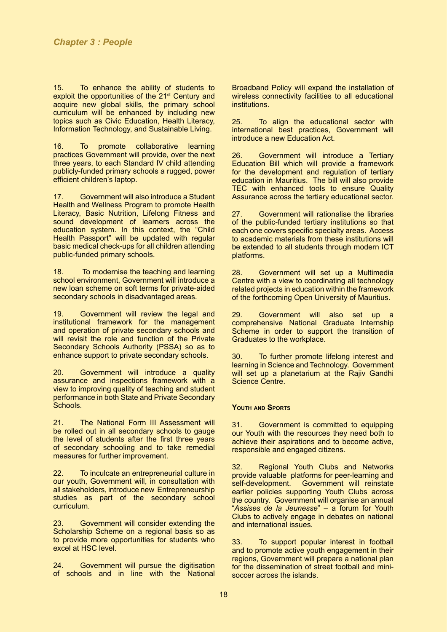15. To enhance the ability of students to exploit the opportunities of the 21<sup>st</sup> Century and acquire new global skills, the primary school curriculum will be enhanced by including new topics such as Civic Education, Health Literacy, Information Technology, and Sustainable Living.

16. To promote collaborative learning practices Government will provide, over the next three years, to each Standard IV child attending publicly-funded primary schools a rugged, power efficient children's laptop.

17. Government will also introduce a Student Health and Wellness Program to promote Health Literacy, Basic Nutrition, Lifelong Fitness and sound development of learners across the education system. In this context, the "Child Health Passport" will be updated with regular basic medical check-ups for all children attending public-funded primary schools.

18. To modernise the teaching and learning school environment, Government will introduce a new loan scheme on soft terms for private-aided secondary schools in disadvantaged areas.

19. Government will review the legal and institutional framework for the management and operation of private secondary schools and will revisit the role and function of the Private Secondary Schools Authority (PSSA) so as to enhance support to private secondary schools.

20. Government will introduce a quality assurance and inspections framework with a view to improving quality of teaching and student performance in both State and Private Secondary Schools.

21. The National Form III Assessment will be rolled out in all secondary schools to gauge the level of students after the first three years of secondary schooling and to take remedial measures for further improvement.

22. To inculcate an entrepreneurial culture in our youth, Government will, in consultation with all stakeholders, introduce new Entrepreneurship studies as part of the secondary school curriculum.

23. Government will consider extending the Scholarship Scheme on a regional basis so as to provide more opportunities for students who excel at HSC level.

24. Government will pursue the digitisation of schools and in line with the National Broadband Policy will expand the installation of wireless connectivity facilities to all educational institutions.

25. To align the educational sector with international best practices, Government will introduce a new Education Act.

26. Government will introduce a Tertiary Education Bill which will provide a framework for the development and regulation of tertiary education in Mauritius. The bill will also provide TEC with enhanced tools to ensure Quality Assurance across the tertiary educational sector.

27. Government will rationalise the libraries of the public-funded tertiary institutions so that each one covers specific specialty areas. Access to academic materials from these institutions will be extended to all students through modern ICT platforms.

28. Government will set up a Multimedia Centre with a view to coordinating all technology related projects in education within the framework of the forthcoming Open University of Mauritius.

29. Government will also set up a comprehensive National Graduate Internship Scheme in order to support the transition of Graduates to the workplace.

30. To further promote lifelong interest and learning in Science and Technology. Government will set up a planetarium at the Rajiv Gandhi Science Centre.

#### **Youth and Sports**

31. Government is committed to equipping our Youth with the resources they need both to achieve their aspirations and to become active, responsible and engaged citizens.

32. Regional Youth Clubs and Networks provide valuable platforms for peer-learning and<br>self-development. Government will reinstate Government will reinstate earlier policies supporting Youth Clubs across the country. Government will organise an annual "*Assises de la Jeunesse*" – a forum for Youth Clubs to actively engage in debates on national and international issues.

33. To support popular interest in football and to promote active youth engagement in their regions, Government will prepare a national plan for the dissemination of street football and minisoccer across the islands.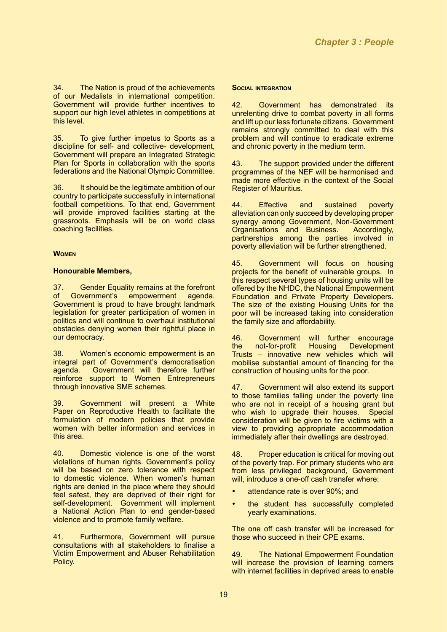34. The Nation is proud of the achievements of our Medalists in international competition. Government will provide further incentives to support our high level athletes in competitions at this level.

35. To give further impetus to Sports as a discipline for self- and collective- development, Government will prepare an Integrated Strategic Plan for Sports in collaboration with the sports federations and the National Olympic Committee.

36. It should be the legitimate ambition of our country to participate successfully in international football competitions. To that end, Government will provide improved facilities starting at the grassroots. Emphasis will be on world class coaching facilities.

#### **Women**

#### **Honourable Members,**

37. Gender Equality remains at the forefront<br>of Government's empowerment agenda. empowerment Government is proud to have brought landmark legislation for greater participation of women in politics and will continue to overhaul institutional obstacles denying women their rightful place in our democracy.

38. Women's economic empowerment is an integral part of Government's democratisation agenda. Government will therefore further reinforce support to Women Entrepreneurs through innovative SME schemes.

39. Government will present a White Paper on Reproductive Health to facilitate the formulation of modern policies that provide women with better information and services in this area.

40. Domestic violence is one of the worst violations of human rights. Government's policy will be based on zero tolerance with respect to domestic violence. When women's human rights are denied in the place where they should feel safest, they are deprived of their right for self-development. Government will implement a National Action Plan to end gender-based violence and to promote family welfare.

41. Furthermore, Government will pursue consultations with all stakeholders to finalise a Victim Empowerment and Abuser Rehabilitation Policy.

#### **Social integration**

42. Government has demonstrated its unrelenting drive to combat poverty in all forms and lift up our less fortunate citizens. Government remains strongly committed to deal with this problem and will continue to eradicate extreme and chronic poverty in the medium term.

43. The support provided under the different programmes of the NEF will be harmonised and made more effective in the context of the Social Register of Mauritius.

44. Effective and sustained poverty alleviation can only succeed by developing proper synergy among Government, Non-Government Organisations and Business. Accordingly, partnerships among the parties involved in poverty alleviation will be further strengthened.

45. Government will focus on housing projects for the benefit of vulnerable groups. In this respect several types of housing units will be offered by the NHDC, the National Empowerment Foundation and Private Property Developers. The size of the existing Housing Units for the poor will be increased taking into consideration the family size and affordability.

46. Government will further encourage<br>the not-for-profit Housing Development not-for-profit Trusts – innovative new vehicles which will mobilise substantial amount of financing for the construction of housing units for the poor.

47. Government will also extend its support to those families falling under the poverty line who are not in receipt of a housing grant but who wish to upgrade their houses. Special consideration will be given to fire victims with a view to providing appropriate accommodation immediately after their dwellings are destroyed.

48. Proper education is critical for moving out of the poverty trap. For primary students who are from less privileged background, Government will, introduce a one-off cash transfer where:

- attendance rate is over 90%; and
- the student has successfully completed yearly examinations.

The one off cash transfer will be increased for those who succeed in their CPE exams.

49. The National Empowerment Foundation will increase the provision of learning corners with internet facilities in deprived areas to enable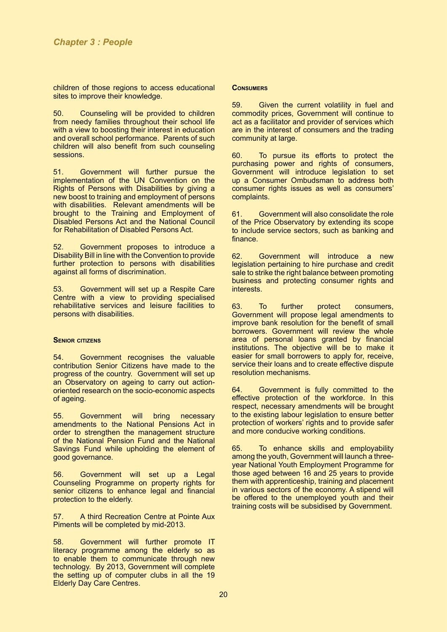children of those regions to access educational sites to improve their knowledge.

50. Counseling will be provided to children from needy families throughout their school life with a view to boosting their interest in education and overall school performance. Parents of such children will also benefit from such counseling sessions.

51. Government will further pursue the implementation of the UN Convention on the Rights of Persons with Disabilities by giving a new boost to training and employment of persons with disabilities. Relevant amendments will be brought to the Training and Employment of Disabled Persons Act and the National Council for Rehabilitation of Disabled Persons Act.

52. Government proposes to introduce a Disability Bill in line with the Convention to provide further protection to persons with disabilities against all forms of discrimination.

53. Government will set up a Respite Care Centre with a view to providing specialised rehabilitative services and leisure facilities to persons with disabilities.

#### **Senior citizens**

54. Government recognises the valuable contribution Senior Citizens have made to the progress of the country. Government will set up an Observatory on ageing to carry out actionoriented research on the socio-economic aspects of ageing.

55. Government will bring necessary amendments to the National Pensions Act in order to strengthen the management structure of the National Pension Fund and the National Savings Fund while upholding the element of good governance.

56. Government will set up a Legal Counseling Programme on property rights for senior citizens to enhance legal and financial protection to the elderly.

57. A third Recreation Centre at Pointe Aux Piments will be completed by mid-2013.

58. Government will further promote IT literacy programme among the elderly so as to enable them to communicate through new technology. By 2013, Government will complete the setting up of computer clubs in all the 19 Elderly Day Care Centres.

#### **Consumers**

59. Given the current volatility in fuel and commodity prices, Government will continue to act as a facilitator and provider of services which are in the interest of consumers and the trading community at large.

60. To pursue its efforts to protect the purchasing power and rights of consumers, Government will introduce legislation to set up a Consumer Ombudsman to address both consumer rights issues as well as consumers' complaints.

61. Government will also consolidate the role of the Price Observatory by extending its scope to include service sectors, such as banking and finance.

62. Government will introduce a new legislation pertaining to hire purchase and credit sale to strike the right balance between promoting business and protecting consumer rights and interests.

63. To further protect consumers, Government will propose legal amendments to improve bank resolution for the benefit of small borrowers. Government will review the whole area of personal loans granted by financial institutions. The objective will be to make it easier for small borrowers to apply for, receive, service their loans and to create effective dispute resolution mechanisms.

64. Government is fully committed to the effective protection of the workforce. In this respect, necessary amendments will be brought to the existing labour legislation to ensure better protection of workers' rights and to provide safer and more conducive working conditions.

65. To enhance skills and employability among the youth, Government will launch a threeyear National Youth Employment Programme for those aged between 16 and 25 years to provide them with apprenticeship, training and placement in various sectors of the economy. A stipend will be offered to the unemployed youth and their training costs will be subsidised by Government.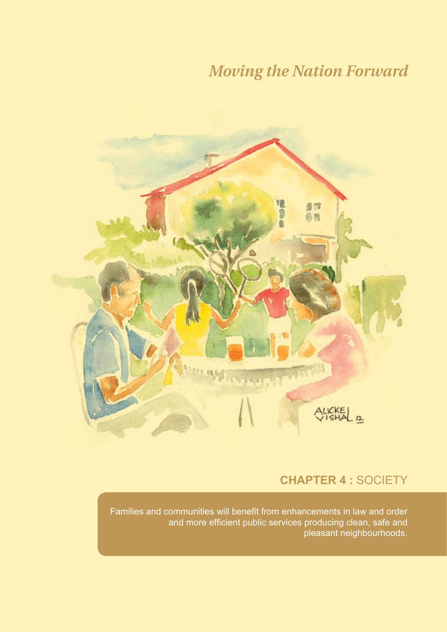

### **CHAPTER 4 :** Society

Families and communities will benefit from enhancements in law and order and more efficient public services producing clean, safe and pleasant neighbourhoods.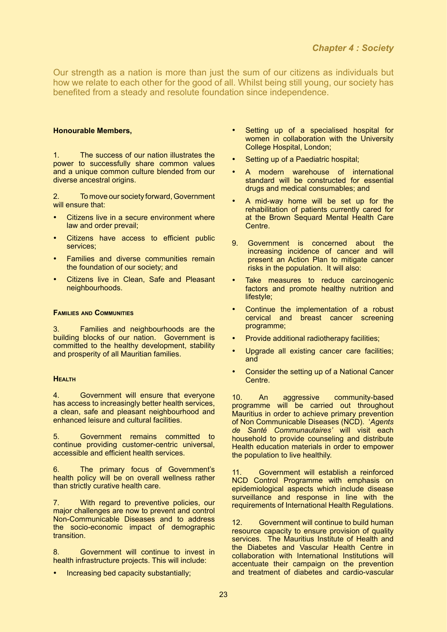Our strength as a nation is more than just the sum of our citizens as individuals but how we relate to each other for the good of all. Whilst being still young, our society has benefited from a steady and resolute foundation since independence.

#### **Honourable Members,**

1. The success of our nation illustrates the power to successfully share common values and a unique common culture blended from our diverse ancestral origins.

2. To move our society forward, Government will ensure that:

- Citizens live in a secure environment where law and order prevail;
- Citizens have access to efficient public services;
- Families and diverse communities remain the foundation of our society; and
- Citizens live in Clean, Safe and Pleasant neighbourhoods.

#### **Families and Communities**

3. Families and neighbourhoods are the building blocks of our nation. Government is committed to the healthy development, stability and prosperity of all Mauritian families.

#### **Health**

4. Government will ensure that everyone has access to increasingly better health services, a clean, safe and pleasant neighbourhood and enhanced leisure and cultural facilities.

5. Government remains committed to continue providing customer-centric universal, accessible and efficient health services.

6. The primary focus of Government's health policy will be on overall wellness rather than strictly curative health care.

7. With regard to preventive policies, our major challenges are now to prevent and control Non-Communicable Diseases and to address the socio-economic impact of demographic transition.

8. Government will continue to invest in health infrastructure projects. This will include:

Increasing bed capacity substantially;

- Setting up of a specialised hospital for women in collaboration with the University College Hospital, London;
- Setting up of a Paediatric hospital;
- A modern warehouse of international standard will be constructed for essential drugs and medical consumables; and
- A mid-way home will be set up for the rehabilitation of patients currently cared for at the Brown Sequard Mental Health Care Centre.
- 9. Government is concerned about the increasing incidence of cancer and will present an Action Plan to mitigate cancer risks in the population. It will also:
- Take measures to reduce carcinogenic factors and promote healthy nutrition and lifestyle;
- Continue the implementation of a robust cervical and breast cancer screening programme;
- Provide additional radiotherapy facilities;
- Upgrade all existing cancer care facilities; and
- Consider the setting up of a National Cancer Centre.

10. An aggressive community-based programme will be carried out throughout Mauritius in order to achieve primary prevention of Non Communicable Diseases (NCD). '*Agents de Santé Communautaires'* will visit each household to provide counseling and distribute Health education materials in order to empower the population to live healthily.

11. Government will establish a reinforced NCD Control Programme with emphasis on epidemiological aspects which include disease surveillance and response in line with the requirements of International Health Regulations.

12. Government will continue to build human resource capacity to ensure provision of quality services. The Mauritius Institute of Health and the Diabetes and Vascular Health Centre in collaboration with International Institutions will accentuate their campaign on the prevention and treatment of diabetes and cardio-vascular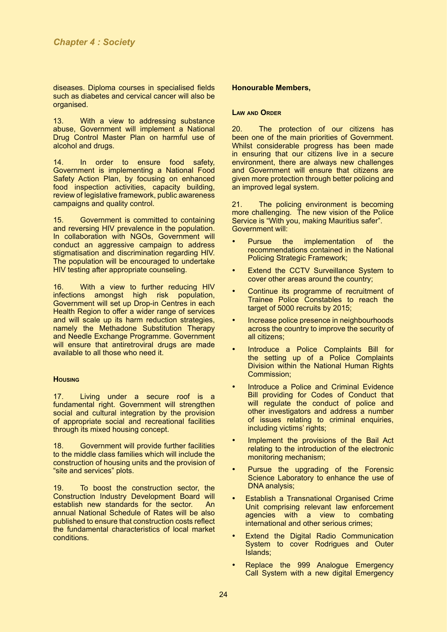diseases. Diploma courses in specialised fields such as diabetes and cervical cancer will also be organised.

13. With a view to addressing substance abuse. Government will implement a National Drug Control Master Plan on harmful use of alcohol and drugs.

14. In order to ensure food safety, Government is implementing a National Food Safety Action Plan, by focusing on enhanced food inspection activities, capacity building, review of legislative framework, public awareness campaigns and quality control.

15. Government is committed to containing and reversing HIV prevalence in the population. In collaboration with NGOs, Government will conduct an aggressive campaign to address stigmatisation and discrimination regarding HIV. The population will be encouraged to undertake HIV testing after appropriate counseling.

16. With a view to further reducing HIV<br>infections amongst high risk population. amongst high risk population, Government will set up Drop-in Centres in each Health Region to offer a wider range of services and will scale up its harm reduction strategies, namely the Methadone Substitution Therapy and Needle Exchange Programme. Government will ensure that antiretroviral drugs are made available to all those who need it.

#### **Housing**

17. Living under a secure roof is a fundamental right. Government will strengthen social and cultural integration by the provision of appropriate social and recreational facilities through its mixed housing concept.

18. Government will provide further facilities to the middle class families which will include the construction of housing units and the provision of "site and services" plots.

19. To boost the construction sector, the Construction Industry Development Board will establish new standards for the sector. annual National Schedule of Rates will be also published to ensure that construction costs reflect the fundamental characteristics of local market conditions.

#### **Honourable Members,**

#### **Law and Order**

20. The protection of our citizens has been one of the main priorities of Government. Whilst considerable progress has been made in ensuring that our citizens live in a secure environment, there are always new challenges and Government will ensure that citizens are given more protection through better policing and an improved legal system.

21. The policing environment is becoming more challenging. The new vision of the Police Service is "With you, making Mauritius safer". Government will:

- Pursue the implementation of the recommendations contained in the National Policing Strategic Framework;
- **Extend the CCTV Surveillance System to** cover other areas around the country;
- Continue its programme of recruitment of Trainee Police Constables to reach the target of 5000 recruits by 2015;
- Increase police presence in neighbourhoods across the country to improve the security of all citizens;
- Introduce a Police Complaints Bill for the setting up of a Police Complaints Division within the National Human Rights Commission;
- Introduce a Police and Criminal Evidence Bill providing for Codes of Conduct that will regulate the conduct of police and other investigators and address a number of issues relating to criminal enquiries, including victims' rights;
- Implement the provisions of the Bail Act relating to the introduction of the electronic monitoring mechanism;
- Pursue the upgrading of the Forensic Science Laboratory to enhance the use of DNA analysis;
- • Establish a Transnational Organised Crime Unit comprising relevant law enforcement agencies with a view to combating international and other serious crimes;
- • Extend the Digital Radio Communication System to cover Rodrigues and Outer Islands;
- Replace the 999 Analogue Emergency Call System with a new digital Emergency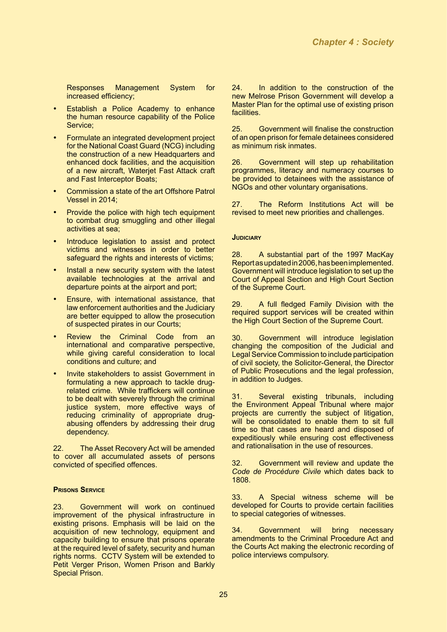Responses Management System for increased efficiency;

- Establish a Police Academy to enhance the human resource capability of the Police Service;
- Formulate an integrated development project for the National Coast Guard (NCG) including the construction of a new Headquarters and enhanced dock facilities, and the acquisition of a new aircraft, Waterjet Fast Attack craft and Fast Interceptor Boats;
- Commission a state of the art Offshore Patrol Vessel in 2014;
- Provide the police with high tech equipment to combat drug smuggling and other illegal activities at sea;
- Introduce legislation to assist and protect victims and witnesses in order to better safeguard the rights and interests of victims;
- Install a new security system with the latest available technologies at the arrival and departure points at the airport and port;
- Ensure, with international assistance, that law enforcement authorities and the Judiciary are better equipped to allow the prosecution of suspected pirates in our Courts;
- Review the Criminal Code from an international and comparative perspective, while giving careful consideration to local conditions and culture; and
- Invite stakeholders to assist Government in formulating a new approach to tackle drugrelated crime. While traffickers will continue to be dealt with severely through the criminal justice system, more effective ways of reducing criminality of appropriate drugabusing offenders by addressing their drug dependency.

22. The Asset Recovery Act will be amended to cover all accumulated assets of persons convicted of specified offences.

#### **Prisons Service**

23. Government will work on continued improvement of the physical infrastructure in existing prisons. Emphasis will be laid on the acquisition of new technology, equipment and capacity building to ensure that prisons operate at the required level of safety, security and human rights norms. CCTV System will be extended to Petit Verger Prison, Women Prison and Barkly Special Prison.

24. In addition to the construction of the new Melrose Prison Government will develop a Master Plan for the optimal use of existing prison facilities.

25. Government will finalise the construction of an open prison for female detainees considered as minimum risk inmates.

26. Government will step up rehabilitation programmes, literacy and numeracy courses to be provided to detainees with the assistance of NGOs and other voluntary organisations.

27. The Reform Institutions Act will be revised to meet new priorities and challenges.

#### **Judiciary**

28. A substantial part of the 1997 MacKay Report as updated in 2006, has been implemented. Government will introduce legislation to set up the Court of Appeal Section and High Court Section of the Supreme Court.

29. A full fledged Family Division with the required support services will be created within the High Court Section of the Supreme Court.

30. Government will introduce legislation changing the composition of the Judicial and Legal Service Commission to include participation of civil society, the Solicitor-General, the Director of Public Prosecutions and the legal profession, in addition to Judges.

31. Several existing tribunals, including the Environment Appeal Tribunal where major projects are currently the subject of litigation, will be consolidated to enable them to sit full time so that cases are heard and disposed of expeditiously while ensuring cost effectiveness and rationalisation in the use of resources.

32. Government will review and update the *Code de Procédure Civile* which dates back to 1808.

33. A Special witness scheme will be developed for Courts to provide certain facilities to special categories of witnesses.

34. Government will bring necessary amendments to the Criminal Procedure Act and the Courts Act making the electronic recording of police interviews compulsory.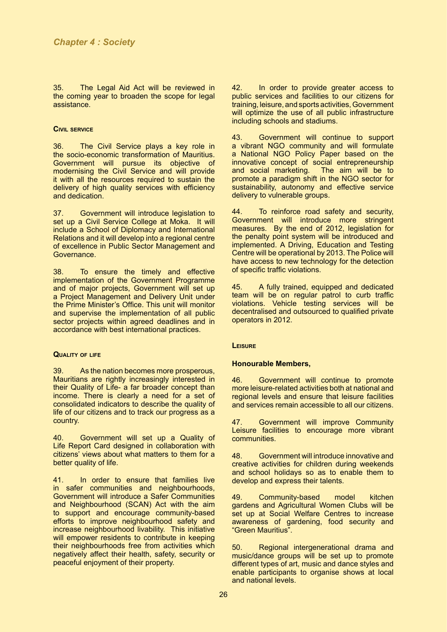35. The Legal Aid Act will be reviewed in the coming year to broaden the scope for legal assistance.

#### **Civil service**

36. The Civil Service plays a key role in the socio-economic transformation of Mauritius. Government will pursue its objective of modernising the Civil Service and will provide it with all the resources required to sustain the delivery of high quality services with efficiency and dedication.

37. Government will introduce legislation to set up a Civil Service College at Moka. It will include a School of Diplomacy and International Relations and it will develop into a regional centre of excellence in Public Sector Management and Governance.

38. To ensure the timely and effective implementation of the Government Programme and of major projects, Government will set up a Project Management and Delivery Unit under the Prime Minister's Office. This unit will monitor and supervise the implementation of all public sector projects within agreed deadlines and in accordance with best international practices.

#### **Quality of life**

39. As the nation becomes more prosperous, Mauritians are rightly increasingly interested in their Quality of Life- a far broader concept than income. There is clearly a need for a set of consolidated indicators to describe the quality of life of our citizens and to track our progress as a country.

40. Government will set up a Quality of Life Report Card designed in collaboration with citizens' views about what matters to them for a better quality of life.

41. In order to ensure that families live in safer communities and neighbourhoods, Government will introduce a Safer Communities and Neighbourhood (SCAN) Act with the aim to support and encourage community-based efforts to improve neighbourhood safety and increase neighbourhood livability. This initiative will empower residents to contribute in keeping their neighbourhoods free from activities which negatively affect their health, safety, security or peaceful enjoyment of their property.

42. In order to provide greater access to public services and facilities to our citizens for training, leisure, and sports activities, Government will optimize the use of all public infrastructure including schools and stadiums.

43. Government will continue to support a vibrant NGO community and will formulate a National NGO Policy Paper based on the innovative concept of social entrepreneurship and social marketing. promote a paradigm shift in the NGO sector for sustainability, autonomy and effective service delivery to vulnerable groups.

44. To reinforce road safety and security, Government will introduce more stringent measures. By the end of 2012, legislation for the penalty point system will be introduced and implemented. A Driving, Education and Testing Centre will be operational by 2013. The Police will have access to new technology for the detection of specific traffic violations.

45. A fully trained, equipped and dedicated team will be on regular patrol to curb traffic violations. Vehicle testing services will be decentralised and outsourced to qualified private operators in 2012.

#### **Leisure**

#### **Honourable Members,**

46. Government will continue to promote more leisure-related activities both at national and regional levels and ensure that leisure facilities and services remain accessible to all our citizens.

47. Government will improve Community Leisure facilities to encourage more vibrant communities.

48. Government will introduce innovative and creative activities for children during weekends and school holidays so as to enable them to develop and express their talents.

49. Community-based model kitchen gardens and Agricultural Women Clubs will be set up at Social Welfare Centres to increase awareness of gardening, food security and "Green Mauritius".

50. Regional intergenerational drama and music/dance groups will be set up to promote different types of art, music and dance styles and enable participants to organise shows at local and national levels.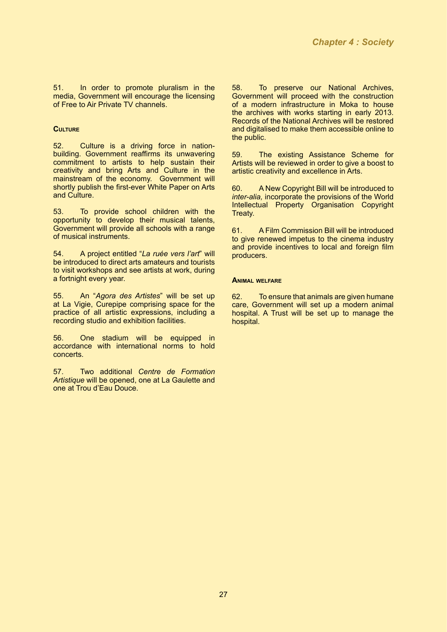51. In order to promote pluralism in the media, Government will encourage the licensing of Free to Air Private TV channels.

#### **Culture**

52. Culture is a driving force in nationbuilding. Government reaffirms its unwavering commitment to artists to help sustain their creativity and bring Arts and Culture in the mainstream of the economy. Government will shortly publish the first-ever White Paper on Arts and Culture.

53. To provide school children with the opportunity to develop their musical talents, Government will provide all schools with a range of musical instruments.

54. A project entitled "*La ruée vers l'art*" will be introduced to direct arts amateurs and tourists to visit workshops and see artists at work, during a fortnight every year.

55. An "*Agora des Artistes*" will be set up at La Vigie, Curepipe comprising space for the practice of all artistic expressions, including a recording studio and exhibition facilities.

56. One stadium will be equipped in accordance with international norms to hold concerts.

57. Two additional *Centre de Formation Artistique* will be opened, one at La Gaulette and one at Trou d'Eau Douce.

58. To preserve our National Archives, Government will proceed with the construction of a modern infrastructure in Moka to house the archives with works starting in early 2013. Records of the National Archives will be restored and digitalised to make them accessible online to the public.

59. The existing Assistance Scheme for Artists will be reviewed in order to give a boost to artistic creativity and excellence in Arts.

60. A New Copyright Bill will be introduced to *inter-alia,* incorporate the provisions of the World Intellectual Property Organisation Copyright Treaty.

61. A Film Commission Bill will be introduced to give renewed impetus to the cinema industry and provide incentives to local and foreign film producers.

#### **Animal welfare**

62. To ensure that animals are given humane care, Government will set up a modern animal hospital. A Trust will be set up to manage the hospital.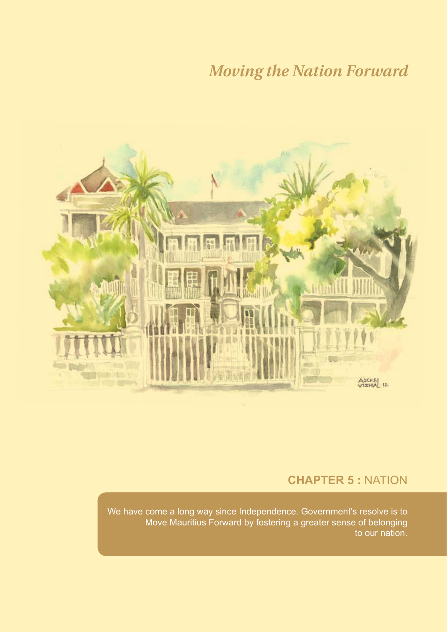

### **CHAPTER 5 :** Nation

We have come a long way since Independence. Government's resolve is to Move Mauritius Forward by fostering a greater sense of belonging to our nation.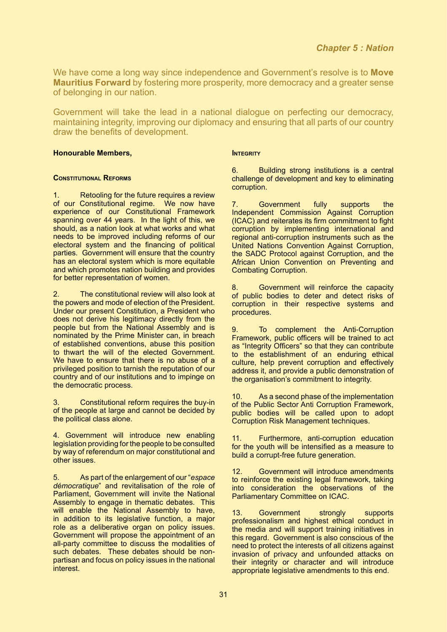We have come a long way since independence and Government's resolve is to **Move Mauritius Forward** by fostering more prosperity, more democracy and a greater sense of belonging in our nation.

Government will take the lead in a national dialogue on perfecting our democracy, maintaining integrity, improving our diplomacy and ensuring that all parts of our country draw the benefits of development.

#### **Honourable Members,**

#### **Constitutional Reforms**

1. Retooling for the future requires a review of our Constitutional regime. We now have experience of our Constitutional Framework spanning over 44 years. In the light of this, we should, as a nation look at what works and what needs to be improved including reforms of our electoral system and the financing of political parties. Government will ensure that the country has an electoral system which is more equitable and which promotes nation building and provides for better representation of women.

The constitutional review will also look at the powers and mode of election of the President. Under our present Constitution, a President who does not derive his legitimacy directly from the people but from the National Assembly and is nominated by the Prime Minister can, in breach of established conventions, abuse this position to thwart the will of the elected Government. We have to ensure that there is no abuse of a privileged position to tarnish the reputation of our country and of our institutions and to impinge on the democratic process.

3. Constitutional reform requires the buy-in of the people at large and cannot be decided by the political class alone.

4. Government will introduce new enabling legislation providing for the people to be consulted by way of referendum on major constitutional and other issues.

5. As part of the enlargement of our "*espace démocratique*" and revitalisation of the role of Parliament, Government will invite the National Assembly to engage in thematic debates. This will enable the National Assembly to have, in addition to its legislative function, a major role as a deliberative organ on policy issues. Government will propose the appointment of an all-party committee to discuss the modalities of such debates. These debates should be nonpartisan and focus on policy issues in the national interest.

#### **INTEGRITY**

6. Building strong institutions is a central challenge of development and key to eliminating corruption.

7. Government fully supports the Independent Commission Against Corruption (ICAC) and reiterates its firm commitment to fight corruption by implementing international and regional anti-corruption instruments such as the United Nations Convention Against Corruption, the SADC Protocol against Corruption, and the African Union Convention on Preventing and Combating Corruption.

8. Government will reinforce the capacity of public bodies to deter and detect risks of corruption in their respective systems and procedures.

9. To complement the Anti-Corruption Framework, public officers will be trained to act as "Integrity Officers" so that they can contribute to the establishment of an enduring ethical culture, help prevent corruption and effectively address it, and provide a public demonstration of the organisation's commitment to integrity.

10. As a second phase of the implementation of the Public Sector Anti Corruption Framework, public bodies will be called upon to adopt Corruption Risk Management techniques.

11. Furthermore, anti-corruption education for the youth will be intensified as a measure to build a corrupt-free future generation.

12. Government will introduce amendments to reinforce the existing legal framework, taking into consideration the observations of the Parliamentary Committee on ICAC.

13. Government strongly supports professionalism and highest ethical conduct in the media and will support training initiatives in this regard. Government is also conscious of the need to protect the interests of all citizens against invasion of privacy and unfounded attacks on their integrity or character and will introduce appropriate legislative amendments to this end.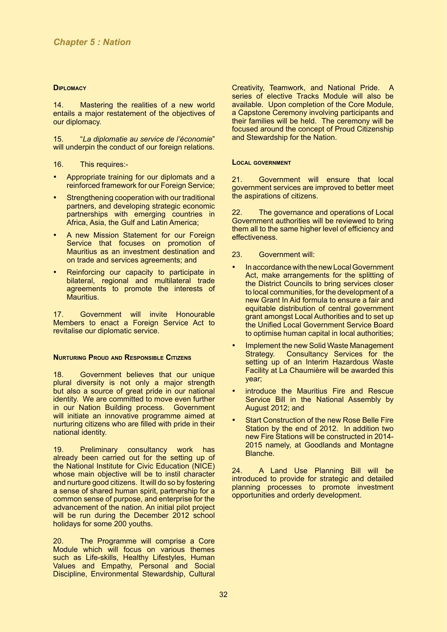#### **Diplomacy**

14. Mastering the realities of a new world entails a major restatement of the objectives of our diplomacy.

15. "*La diplomatie au service de l'économie*" will underpin the conduct of our foreign relations.

16. This requires:-

- Appropriate training for our diplomats and a reinforced framework for our Foreign Service;
- Strengthening cooperation with our traditional partners, and developing strategic economic partnerships with emerging countries in Africa, Asia, the Gulf and Latin America;
- A new Mission Statement for our Foreign Service that focuses on promotion of Mauritius as an investment destination and on trade and services agreements; and
- Reinforcing our capacity to participate in bilateral, regional and multilateral trade agreements to promote the interests of Mauritius.

17. Government will invite Honourable Members to enact a Foreign Service Act to revitalise our diplomatic service.

#### **Nurturing Proud and Responsible Citizens**

18. Government believes that our unique plural diversity is not only a major strength but also a source of great pride in our national identity. We are committed to move even further in our Nation Building process. Government will initiate an innovative programme aimed at nurturing citizens who are filled with pride in their national identity.

19. Preliminary consultancy work has already been carried out for the setting up of the National Institute for Civic Education (NICE) whose main objective will be to instil character and nurture good citizens. It will do so by fostering a sense of shared human spirit, partnership for a common sense of purpose, and enterprise for the advancement of the nation. An initial pilot project will be run during the December 2012 school holidays for some 200 youths.

20. The Programme will comprise a Core Module which will focus on various themes such as Life-skills, Healthy Lifestyles, Human Values and Empathy, Personal and Social Discipline, Environmental Stewardship, Cultural

Creativity, Teamwork, and National Pride. A series of elective Tracks Module will also be available. Upon completion of the Core Module, a Capstone Ceremony involving participants and their families will be held. The ceremony will be focused around the concept of Proud Citizenship and Stewardship for the Nation.

#### **Local government**

21. Government will ensure that local government services are improved to better meet the aspirations of citizens.

22. The governance and operations of Local Government authorities will be reviewed to bring them all to the same higher level of efficiency and effectiveness.

#### 23. Government will:

- In accordance with the new Local Government Act, make arrangements for the splitting of the District Councils to bring services closer to local communities, for the development of a new Grant In Aid formula to ensure a fair and equitable distribution of central government grant amongst Local Authorities and to set up the Unified Local Government Service Board to optimise human capital in local authorities;
- Implement the new Solid Waste Management Strategy. Consultancy Services for the setting up of an Interim Hazardous Waste Facility at La Chaumière will be awarded this year;
- introduce the Mauritius Fire and Rescue Service Bill in the National Assembly by August 2012; and
- **Start Construction of the new Rose Belle Fire** Station by the end of 2012. In addition two new Fire Stations will be constructed in 2014- 2015 namely, at Goodlands and Montagne Blanche.

24. A Land Use Planning Bill will be introduced to provide for strategic and detailed planning processes to promote investment opportunities and orderly development.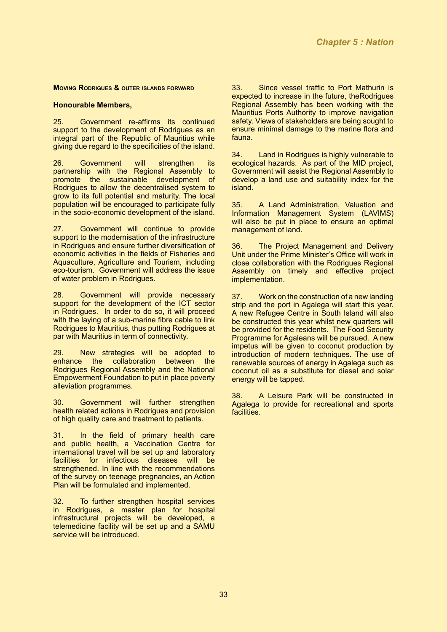#### **Moving Rodrigues & outer islands forward**

#### **Honourable Members,**

25. Government re-affirms its continued support to the development of Rodrigues as an integral part of the Republic of Mauritius while giving due regard to the specificities of the island.

26. Government will strengthen its partnership with the Regional Assembly to promote the sustainable development of Rodrigues to allow the decentralised system to grow to its full potential and maturity. The local population will be encouraged to participate fully in the socio-economic development of the island.

27. Government will continue to provide support to the modernisation of the infrastructure in Rodrigues and ensure further diversification of economic activities in the fields of Fisheries and Aquaculture, Agriculture and Tourism, including eco-tourism. Government will address the issue of water problem in Rodrigues.

28. Government will provide necessary support for the development of the ICT sector in Rodrigues. In order to do so, it will proceed with the laying of a sub-marine fibre cable to link Rodrigues to Mauritius, thus putting Rodrigues at par with Mauritius in term of connectivity.

29. New strategies will be adopted to enhance the collaboration between the Rodrigues Regional Assembly and the National Empowerment Foundation to put in place poverty alleviation programmes.

30. Government will further strengthen health related actions in Rodrigues and provision of high quality care and treatment to patients.

31. In the field of primary health care and public health, a Vaccination Centre for international travel will be set up and laboratory facilities for infectious diseases will be strengthened. In line with the recommendations of the survey on teenage pregnancies, an Action Plan will be formulated and implemented.

32. To further strengthen hospital services in Rodrigues, a master plan for hospital infrastructural projects will be developed, a telemedicine facility will be set up and a SAMU service will be introduced.

33. Since vessel traffic to Port Mathurin is expected to increase in the future, theRodrigues Regional Assembly has been working with the Mauritius Ports Authority to improve navigation safety. Views of stakeholders are being sought to ensure minimal damage to the marine flora and fauna.

34. Land in Rodrigues is highly vulnerable to ecological hazards. As part of the MID project, Government will assist the Regional Assembly to develop a land use and suitability index for the island.

35. A Land Administration, Valuation and Information Management System (LAVIMS) will also be put in place to ensure an optimal management of land.

36. The Project Management and Delivery Unit under the Prime Minister's Office will work in close collaboration with the Rodrigues Regional Assembly on timely and effective project implementation.

37. Work on the construction of a new landing strip and the port in Agalega will start this year. A new Refugee Centre in South Island will also be constructed this year whilst new quarters will be provided for the residents. The Food Security Programme for Agaleans will be pursued. A new impetus will be given to coconut production by introduction of modern techniques. The use of renewable sources of energy in Agalega such as coconut oil as a substitute for diesel and solar energy will be tapped.

38. A Leisure Park will be constructed in Agalega to provide for recreational and sports facilities.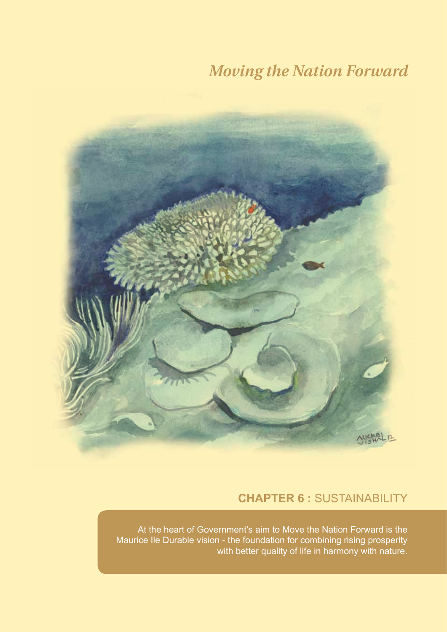

### **CHAPTER 6 :** Sustainability

At the heart of Government's aim to Move the Nation Forward is the Maurice Ile Durable vision - the foundation for combining rising prosperity with better quality of life in harmony with nature.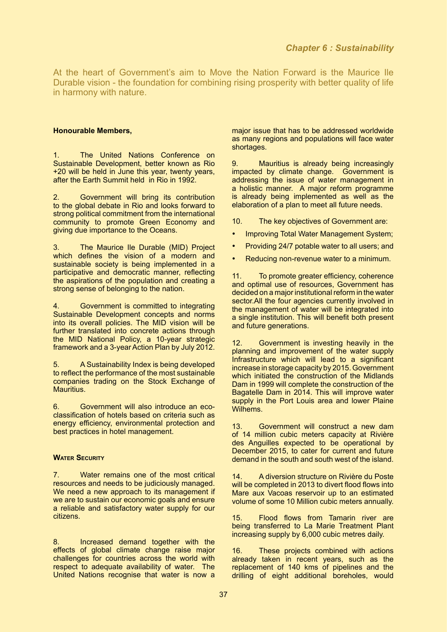At the heart of Government's aim to Move the Nation Forward is the Maurice Ile Durable vision - the foundation for combining rising prosperity with better quality of life in harmony with nature.

#### **Honourable Members,**

The United Nations Conference on Sustainable Development, better known as Rio +20 will be held in June this year, twenty years, after the Earth Summit held in Rio in 1992.

2. Government will bring its contribution to the global debate in Rio and looks forward to strong political commitment from the international community to promote Green Economy and giving due importance to the Oceans.

3. The Maurice Ile Durable (MID) Project which defines the vision of a modern and sustainable society is being implemented in a participative and democratic manner, reflecting the aspirations of the population and creating a strong sense of belonging to the nation.

4. Government is committed to integrating Sustainable Development concepts and norms into its overall policies. The MID vision will be further translated into concrete actions through the MID National Policy, a 10-year strategic framework and a 3-year Action Plan by July 2012.

5. A Sustainability Index is being developed to reflect the performance of the most sustainable companies trading on the Stock Exchange of Mauritius.

6. Government will also introduce an ecoclassification of hotels based on criteria such as energy efficiency, environmental protection and best practices in hotel management.

#### **Water Security**

7. Water remains one of the most critical resources and needs to be judiciously managed. We need a new approach to its management if we are to sustain our economic goals and ensure a reliable and satisfactory water supply for our citizens.

8. Increased demand together with the effects of global climate change raise major challenges for countries across the world with respect to adequate availability of water. The United Nations recognise that water is now a

major issue that has to be addressed worldwide as many regions and populations will face water shortages.

9. Mauritius is already being increasingly impacted by climate change. Government is addressing the issue of water management in a holistic manner. A major reform programme is already being implemented as well as the elaboration of a plan to meet all future needs.

10. The key objectives of Government are:

- Improving Total Water Management System;
- Providing 24/7 potable water to all users; and
- Reducing non-revenue water to a minimum.

11. To promote greater efficiency, coherence and optimal use of resources, Government has decided on a major institutional reform in the water sector. All the four agencies currently involved in the management of water will be integrated into a single institution. This will benefit both present and future generations.

12. Government is investing heavily in the planning and improvement of the water supply Infrastructure which will lead to a significant increase in storage capacity by 2015. Government which initiated the construction of the Midlands Dam in 1999 will complete the construction of the Bagatelle Dam in 2014. This will improve water supply in the Port Louis area and lower Plaine Wilhems.

13. Government will construct a new dam of 14 million cubic meters capacity at Rivière des Anguilles expected to be operational by December 2015, to cater for current and future demand in the south and south west of the island.

14. A diversion structure on Rivière du Poste will be completed in 2013 to divert flood flows into Mare aux Vacoas reservoir up to an estimated volume of some 10 Million cubic meters annually.

15. Flood flows from Tamarin river are being transferred to La Marie Treatment Plant increasing supply by 6,000 cubic metres daily.

16. These projects combined with actions already taken in recent years, such as the replacement of 140 kms of pipelines and the drilling of eight additional boreholes, would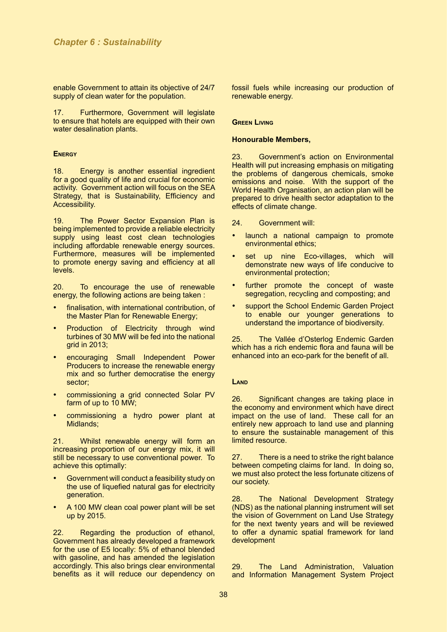enable Government to attain its objective of 24/7 supply of clean water for the population.

17. Furthermore, Government will legislate to ensure that hotels are equipped with their own water desalination plants.

#### **Energy**

18. Energy is another essential ingredient for a good quality of life and crucial for economic activity. Government action will focus on the SEA Strategy, that is Sustainability, Efficiency and Accessibility.

19. The Power Sector Expansion Plan is being implemented to provide a reliable electricity supply using least cost clean technologies including affordable renewable energy sources. Furthermore, measures will be implemented to promote energy saving and efficiency at all levels.

20. To encourage the use of renewable energy, the following actions are being taken :

- finalisation, with international contribution, of the Master Plan for Renewable Energy;
- **Production of Electricity through wind** turbines of 30 MW will be fed into the national grid in 2013;
- encouraging Small Independent Power Producers to increase the renewable energy mix and so further democratise the energy sector;
- commissioning a grid connected Solar PV farm of up to 10 MW;
- commissioning a hydro power plant at Midlands;

21. Whilst renewable energy will form an increasing proportion of our energy mix, it will still be necessary to use conventional power. To achieve this optimally:

- Government will conduct a feasibility study on the use of liquefied natural gas for electricity generation.
- A 100 MW clean coal power plant will be set up by 2015.

22. Regarding the production of ethanol, Government has already developed a framework for the use of E5 locally: 5% of ethanol blended with gasoline, and has amended the legislation accordingly. This also brings clear environmental benefits as it will reduce our dependency on fossil fuels while increasing our production of renewable energy.

#### **Green Living**

#### **Honourable Members,**

23. Government's action on Environmental Health will put increasing emphasis on mitigating the problems of dangerous chemicals, smoke emissions and noise. With the support of the World Health Organisation, an action plan will be prepared to drive health sector adaptation to the effects of climate change.

- 24. Government will:
- • launch a national campaign to promote environmental ethics;
- set up nine Eco-villages, which will demonstrate new ways of life conducive to environmental protection;
- further promote the concept of waste segregation, recycling and composting; and
- support the School Endemic Garden Project to enable our younger generations to understand the importance of biodiversity.

25. The Vallée d'Osterlog Endemic Garden which has a rich endemic flora and fauna will be enhanced into an eco-park for the benefit of all.

#### **Land**

26. Significant changes are taking place in the economy and environment which have direct impact on the use of land. These call for an entirely new approach to land use and planning to ensure the sustainable management of this limited resource.

27. There is a need to strike the right balance between competing claims for land. In doing so, we must also protect the less fortunate citizens of our society.

28. The National Development Strategy (NDS) as the national planning instrument will set the vision of Government on Land Use Strategy for the next twenty years and will be reviewed to offer a dynamic spatial framework for land development

29. The Land Administration, Valuation and Information Management System Project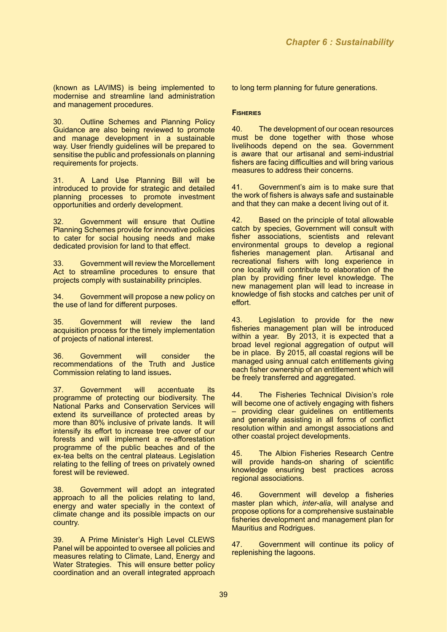(known as LAVIMS) is being implemented to modernise and streamline land administration and management procedures.

30. Outline Schemes and Planning Policy Guidance are also being reviewed to promote and manage development in a sustainable way. User friendly guidelines will be prepared to sensitise the public and professionals on planning requirements for projects.

31. A Land Use Planning Bill will be introduced to provide for strategic and detailed planning processes to promote investment opportunities and orderly development.

32. Government will ensure that Outline Planning Schemes provide for innovative policies to cater for social housing needs and make dedicated provision for land to that effect.

33. Government will review the Morcellement Act to streamline procedures to ensure that projects comply with sustainability principles.

34. Government will propose a new policy on the use of land for different purposes.

35. Government will review the land acquisition process for the timely implementation of projects of national interest.

36. Government will consider the recommendations of the Truth and Justice Commission relating to land issues**.**

37. Government will accentuate its programme of protecting our biodiversity. The National Parks and Conservation Services will extend its surveillance of protected areas by more than 80% inclusive of private lands. It will intensify its effort to increase tree cover of our forests and will implement a re-afforestation programme of the public beaches and of the ex-tea belts on the central plateaus. Legislation relating to the felling of trees on privately owned forest will be reviewed.

38. Government will adopt an integrated approach to all the policies relating to land, energy and water specially in the context of climate change and its possible impacts on our country.

39. A Prime Minister's High Level CLEWS Panel will be appointed to oversee all policies and measures relating to Climate, Land, Energy and Water Strategies. This will ensure better policy coordination and an overall integrated approach

to long term planning for future generations.

#### **Fisheries**

40. The development of our ocean resources must be done together with those whose livelihoods depend on the sea. Government is aware that our artisanal and semi-industrial fishers are facing difficulties and will bring various measures to address their concerns.

41. Government's aim is to make sure that the work of fishers is always safe and sustainable and that they can make a decent living out of it.

42. Based on the principle of total allowable catch by species, Government will consult with fisher associations, scientists and relevant environmental groups to develop a regional fisheries management plan. Artisanal and fisheries management plan. recreational fishers with long experience in one locality will contribute to elaboration of the plan by providing finer level knowledge. The new management plan will lead to increase in knowledge of fish stocks and catches per unit of effort.

43. Legislation to provide for the new fisheries management plan will be introduced within a year. By 2013, it is expected that a broad level regional aggregation of output will be in place. By 2015, all coastal regions will be managed using annual catch entitlements giving each fisher ownership of an entitlement which will be freely transferred and aggregated.

44. The Fisheries Technical Division's role will become one of actively engaging with fishers – providing clear guidelines on entitlements and generally assisting in all forms of conflict resolution within and amongst associations and other coastal project developments.

45. The Albion Fisheries Research Centre will provide hands-on sharing of scientific knowledge ensuring best practices across regional associations.

46. Government will develop a fisheries master plan which, *inter-alia*, will analyse and propose options for a comprehensive sustainable fisheries development and management plan for Mauritius and Rodrigues.

47. Government will continue its policy of replenishing the lagoons.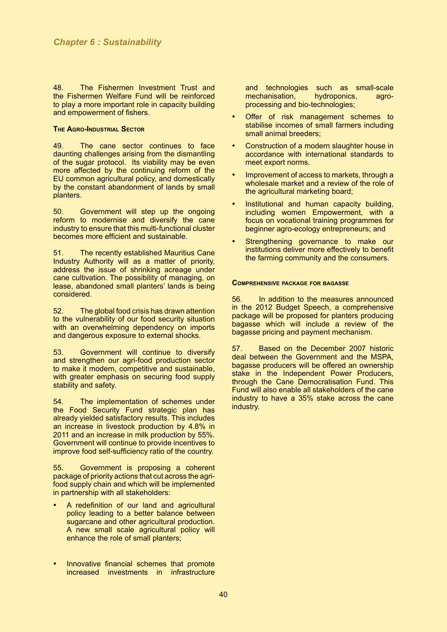48. The Fishermen Investment Trust and the Fishermen Welfare Fund will be reinforced to play a more important role in capacity building and empowerment of fishers.

#### **The Agro-Industrial Sector**

49. The cane sector continues to face daunting challenges arising from the dismantling of the sugar protocol. Its viability may be even more affected by the continuing reform of the EU common agricultural policy, and domestically by the constant abandonment of lands by small planters.

50. Government will step up the ongoing reform to modernise and diversify the cane industry to ensure that this multi-functional cluster becomes more efficient and sustainable.

51. The recently established Mauritius Cane Industry Authority will as a matter of priority, address the issue of shrinking acreage under cane cultivation. The possibility of managing, on lease, abandoned small planters' lands is being considered.

52. The global food crisis has drawn attention to the vulnerability of our food security situation with an overwhelming dependency on imports and dangerous exposure to external shocks.

53. Government will continue to diversify and strengthen our agri-food production sector to make it modern, competitive and sustainable, with greater emphasis on securing food supply stability and safety.

54. The implementation of schemes under the Food Security Fund strategic plan has already yielded satisfactory results. This includes an increase in livestock production by 4.8% in 2011 and an increase in milk production by 55%. Government will continue to provide incentives to improve food self-sufficiency ratio of the country.

55. Government is proposing a coherent package of priority actions that cut across the agrifood supply chain and which will be implemented in partnership with all stakeholders:

- A redefinition of our land and agricultural policy leading to a better balance between sugarcane and other agricultural production. A new small scale agricultural policy will enhance the role of small planters;
- Innovative financial schemes that promote increased investments in infrastructure

and technologies such as small-scale<br>mechanisation, hydroponics, agromechanisation, hydroponics, agroprocessing and bio-technologies;

- Offer of risk management schemes to stabilise incomes of small farmers including small animal breeders;
- Construction of a modern slaughter house in accordance with international standards to meet export norms.
- Improvement of access to markets, through a wholesale market and a review of the role of the agricultural marketing board;
- Institutional and human capacity building. including women Empowerment, with a focus on vocational training programmes for beginner agro-ecology entrepreneurs; and
- Strengthening governance to make our institutions deliver more effectively to benefit the farming community and the consumers.

#### **Comprehensive package for bagasse**

56. In addition to the measures announced in the 2012 Budget Speech, a comprehensive package will be proposed for planters producing bagasse which will include a review of the bagasse pricing and payment mechanism.

57. Based on the December 2007 historic deal between the Government and the MSPA, bagasse producers will be offered an ownership stake in the Independent Power Producers, through the Cane Democratisation Fund. This Fund will also enable all stakeholders of the cane industry to have a 35% stake across the cane industry.